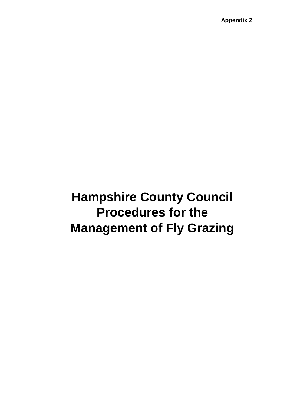**Appendix 2**

# **Hampshire County Council Procedures for the Management of Fly Grazing**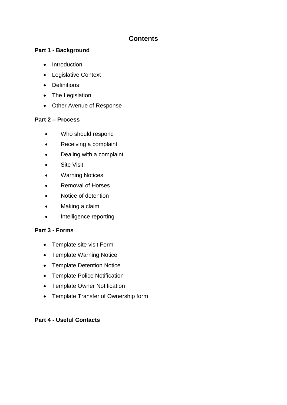## **Contents**

#### **Part 1 - Background**

- Introduction
- Legislative Context
- Definitions
- The Legislation
- Other Avenue of Response

#### **Part 2 – Process**

- Who should respond
- Receiving a complaint
- Dealing with a complaint
- Site Visit
- Warning Notices
- Removal of Horses
- Notice of detention
- Making a claim
- Intelligence reporting

#### **Part 3 - Forms**

- Template site visit Form
- Template Warning Notice
- Template Detention Notice
- Template Police Notification
- Template Owner Notification
- Template Transfer of Ownership form

#### **Part 4 - Useful Contacts**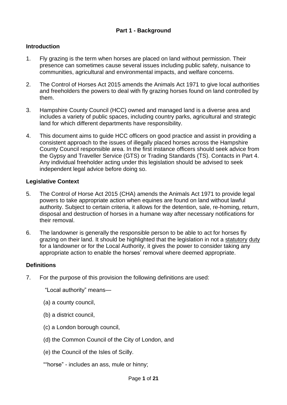#### **Introduction**

- 1. Fly grazing is the term when horses are placed on land without permission. Their presence can sometimes cause several issues including public safety, nuisance to communities, agricultural and environmental impacts, and welfare concerns.
- 2. The Control of Horses Act 2015 amends the Animals Act 1971 to give local authorities and freeholders the powers to deal with fly grazing horses found on land controlled by them.
- 3. Hampshire County Council (HCC) owned and managed land is a diverse area and includes a variety of public spaces, including country parks, agricultural and strategic land for which different departments have responsibility.
- 4. This document aims to guide HCC officers on good practice and assist in providing a consistent approach to the issues of illegally placed horses across the Hampshire County Council responsible area. In the first instance officers should seek advice from the Gypsy and Traveller Service (GTS) or Trading Standards (TS). Contacts in Part 4. Any individual freeholder acting under this legislation should be advised to seek independent legal advice before doing so.

#### **Legislative Context**

- 5. The Control of Horse Act 2015 (CHA) amends the Animals Act 1971 to provide legal powers to take appropriate action when equines are found on land without lawful authority. Subject to certain criteria, it allows for the detention, sale, re-homing, return, disposal and destruction of horses in a humane way after necessary notifications for their removal.
- 6. The landowner is generally the responsible person to be able to act for horses fly grazing on their land. It should be highlighted that the legislation in not a statutory duty for a landowner or for the Local Authority, it gives the power to consider taking any appropriate action to enable the horses' removal where deemed appropriate.

#### **Definitions**

7. For the purpose of this provision the following definitions are used:

"Local authority" means—

- (a) a county council,
- (b) a district council,
- (c) a London borough council,
- (d) the Common Council of the City of London, and
- (e) the Council of the Isles of Scilly.

""horse" - includes an ass, mule or hinny;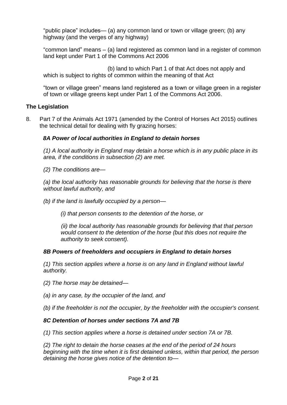"public place" includes— (a) any common land or town or village green; (b) any highway (and the verges of any highway)

"common land" means – (a) land registered as common land in a register of common land kept under Part 1 of the Commons Act 2006

(b) land to which Part 1 of that Act does not apply and which is subject to rights of common within the meaning of that Act

"town or village green" means land registered as a town or village green in a register of town or village greens kept under Part 1 of the Commons Act 2006.

#### **The Legislation**

8. Part 7 of the Animals Act 1971 (amended by the Control of Horses Act 2015) outlines the technical detail for dealing with fly grazing horses:

#### *8A Power of local authorities in England to detain horses*

*(1) A local authority in England may detain a horse which is in any public place in its area, if the conditions in subsection (2) are met.* 

*(2) The conditions are—*

*(a) the local authority has reasonable grounds for believing that the horse is there without lawful authority, and* 

*(b) if the land is lawfully occupied by a person—*

*(i) that person consents to the detention of the horse, or* 

*(ii) the local authority has reasonable grounds for believing that that person would consent to the detention of the horse (but this does not require the authority to seek consent).* 

#### *8B Powers of freeholders and occupiers in England to detain horses*

*(1) This section applies where a horse is on any land in England without lawful authority.* 

- *(2) The horse may be detained—*
- *(a) in any case, by the occupier of the land, and*
- *(b) if the freeholder is not the occupier, by the freeholder with the occupier's consent.*

#### *8C Detention of horses under sections 7A and 7B*

*(1) This section applies where a horse is detained under section 7A or 7B.* 

*(2) The right to detain the horse ceases at the end of the period of 24 hours beginning with the time when it is first detained unless, within that period, the person detaining the horse gives notice of the detention to—*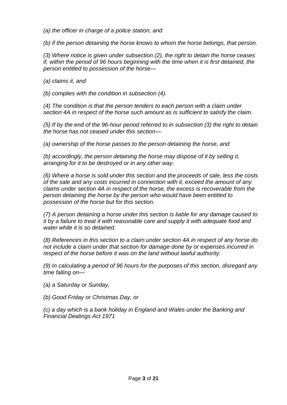*(a) the officer in charge of a police station, and* 

*(b) if the person detaining the horse knows to whom the horse belongs, that person.* 

*(3) Where notice is given under subsection (2), the right to detain the horse ceases if, within the period of 96 hours beginning with the time when it is first detained, the person entitled to possession of the horse—*

*(a) claims it, and* 

*(b) complies with the condition in subsection (4).* 

*(4) The condition is that the person tenders to each person with a claim under section 4A in respect of the horse such amount as is sufficient to satisfy the claim.* 

*(5) If by the end of the 96-hour period referred to in subsection (3) the right to detain the horse has not ceased under this section—*

*(a) ownership of the horse passes to the person detaining the horse, and* 

*(b) accordingly, the person detaining the horse may dispose of it by selling it, arranging for it to be destroyed or in any other way.* 

*(6) Where a horse is sold under this section and the proceeds of sale, less the costs of the sale and any costs incurred in connection with it, exceed the amount of any claims under section 4A in respect of the horse, the excess is recoverable from the person detaining the horse by the person who would have been entitled to possession of the horse but for this section.* 

*(7) A person detaining a horse under this section is liable for any damage caused to it by a failure to treat it with reasonable care and supply it with adequate food and water while it is so detained.* 

*(8) References in this section to a claim under section 4A in respect of any horse do not include a claim under that section for damage done by or expenses incurred in respect of the horse before it was on the land without lawful authority.* 

*(9) In calculating a period of 96 hours for the purposes of this section, disregard any time falling on—*

*(a) a Saturday or Sunday,* 

*(b) Good Friday or Christmas Day, or* 

*(c) a day which is a bank holiday in England and Wales under the Banking and Financial Dealings Act 1971*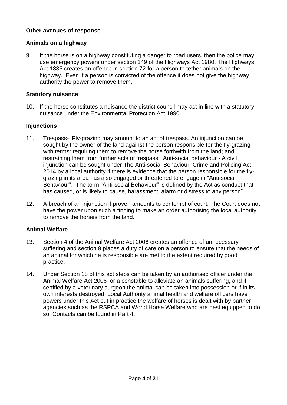#### **Other avenues of response**

#### **Animals on a highway**

9. If the horse is on a highway constituting a danger to road users, then the police may use emergency powers under section 149 of the Highways Act 1980. The Highways Act 1835 creates an offence in section 72 for a person to tether animals on the highway. Even if a person is convicted of the offence it does not give the highway authority the power to remove them.

#### **Statutory nuisance**

10. If the horse constitutes a nuisance the district council may act in line with a statutory nuisance under the Environmental Protection Act 1990

#### **Injunctions**

- 11. Trespass- Fly-grazing may amount to an act of trespass. An injunction can be sought by the owner of the land against the person responsible for the fly-grazing with terms: requiring them to remove the horse forthwith from the land; and restraining them from further acts of trespass. Anti-social behaviour - A civil injunction can be sought under The Anti-social Behaviour, Crime and Policing Act 2014 by a local authority if there is evidence that the person responsible for the flygrazing in its area has also engaged or threatened to engage in "Anti-social Behaviour". The term "Anti-social Behaviour" is defined by the Act as conduct that has caused, or is likely to cause, harassment, alarm or distress to any person".
- 12. A breach of an injunction if proven amounts to contempt of court. The Court does not have the power upon such a finding to make an order authorising the local authority to remove the horses from the land.

#### **Animal Welfare**

- 13. Section 4 of the Animal Welfare Act 2006 creates an offence of unnecessary suffering and section 9 places a duty of care on a person to ensure that the needs of an animal for which he is responsible are met to the extent required by good practice.
- 14. Under Section 18 of this act steps can be taken by an authorised officer under the Animal Welfare Act 2006 or a constable to alleviate an animals suffering, and if certified by a veterinary surgeon the animal can be taken into possession or if in its own interests destroyed. Local Authority animal health and welfare officers have powers under this Act but in practice the welfare of horses is dealt with by partner agencies such as the RSPCA and World Horse Welfare who are best equipped to do so. Contacts can be found in Part 4.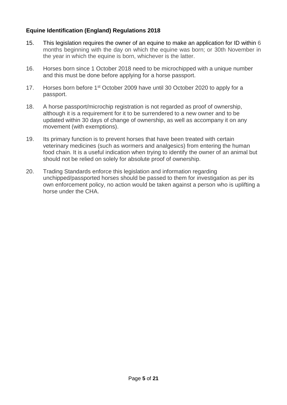#### **Equine Identification (England) Regulations 2018**

- 15. This legislation requires the owner of an equine to make an application for ID within 6 months beginning with the day on which the equine was born; or 30th November in the year in which the equine is born, whichever is the latter.
- 16. Horses born since 1 October 2018 need to be microchipped with a unique number and this must be done before applying for a horse passport.
- 17. Horses born before 1<sup>st</sup> October 2009 have until 30 October 2020 to apply for a passport.
- 18. A horse passport/microchip registration is not regarded as proof of ownership, although it is a requirement for it to be surrendered to a new owner and to be updated within 30 days of change of ownership, as well as accompany it on any movement (with exemptions).
- 19. Its primary function is to prevent horses that have been treated with certain veterinary medicines (such as wormers and analgesics) from entering the human food chain. It is a useful indication when trying to identify the owner of an animal but should not be relied on solely for absolute proof of ownership.
- 20. Trading Standards enforce this legislation and information regarding unchipped/passported horses should be passed to them for investigation as per its own enforcement policy, no action would be taken against a person who is uplifting a horse under the CHA.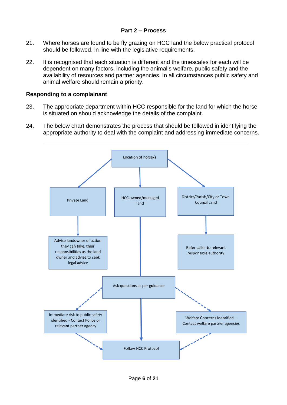#### **Part 2 – Process**

- 21. Where horses are found to be fly grazing on HCC land the below practical protocol should be followed, in line with the legislative requirements.
- 22. It is recognised that each situation is different and the timescales for each will be dependent on many factors, including the animal's welfare, public safety and the availability of resources and partner agencies. In all circumstances public safety and animal welfare should remain a priority.

#### **Responding to a complainant**

- 23. The appropriate department within HCC responsible for the land for which the horse is situated on should acknowledge the details of the complaint.
- 24. The below chart demonstrates the process that should be followed in identifying the appropriate authority to deal with the complaint and addressing immediate concerns.

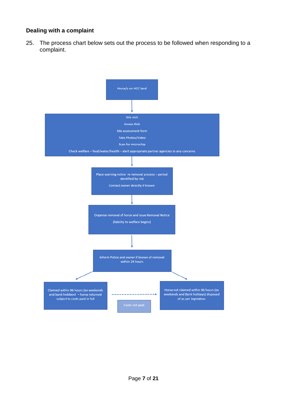#### **Dealing with a complaint**

25. The process chart below sets out the process to be followed when responding to a complaint.

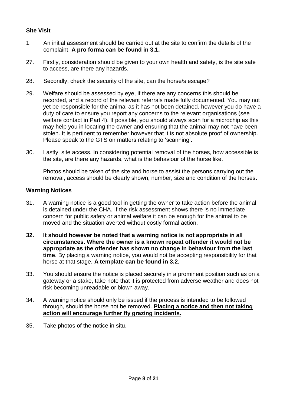#### **Site Visit**

- 1. An initial assessment should be carried out at the site to confirm the details of the complaint. **A pro forma can be found in 3.1.**
- 27. Firstly, consideration should be given to your own health and safety, is the site safe to access, are there any hazards.
- 28. Secondly, check the security of the site, can the horse/s escape?
- 29. Welfare should be assessed by eye, if there are any concerns this should be recorded, and a record of the relevant referrals made fully documented. You may not yet be responsible for the animal as it has not been detained, however you do have a duty of care to ensure you report any concerns to the relevant organisations (see welfare contact in Part 4). If possible, you should always scan for a microchip as this may help you in locating the owner and ensuring that the animal may not have been stolen. It is pertinent to remember however that it is not absolute proof of ownership. Please speak to the GTS on matters relating to 'scanning'.
- 30. Lastly, site access. In considering potential removal of the horses, how accessible is the site, are there any hazards, what is the behaviour of the horse like.

Photos should be taken of the site and horse to assist the persons carrying out the removal, access should be clearly shown, number, size and condition of the horses**.**

#### **Warning Notices**

- 31. A warning notice is a good tool in getting the owner to take action before the animal is detained under the CHA. If the risk assessment shows there is no immediate concern for public safety or animal welfare it can be enough for the animal to be moved and the situation averted without costly formal action.
- **32. It should however be noted that a warning notice is not appropriate in all circumstances. Where the owner is a known repeat offender it would not be appropriate as the offender has shown no change in behaviour from the last time**. By placing a warning notice, you would not be accepting responsibility for that horse at that stage. **A template can be found in 3.2**.
- 33. You should ensure the notice is placed securely in a prominent position such as on a gateway or a stake, take note that it is protected from adverse weather and does not risk becoming unreadable or blown away.
- 34. A warning notice should only be issued if the process is intended to be followed through, should the horse not be removed. **Placing a notice and then not taking action will encourage further fly grazing incidents.**
- 35. Take photos of the notice in situ.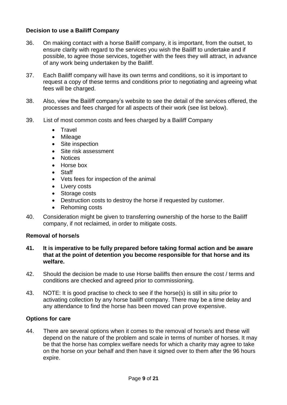#### **Decision to use a Bailiff Company**

- 36. On making contact with a horse Bailiff company, it is important, from the outset, to ensure clarity with regard to the services you wish the Bailiff to undertake and if possible, to agree those services, together with the fees they will attract, in advance of any work being undertaken by the Bailiff.
- 37. Each Bailiff company will have its own terms and conditions, so it is important to request a copy of these terms and conditions prior to negotiating and agreeing what fees will be charged.
- 38. Also, view the Bailiff company's website to see the detail of the services offered, the processes and fees charged for all aspects of their work (see list below).
- 39. List of most common costs and fees charged by a Bailiff Company
	- Travel
	- Mileage
	- Site inspection
	- Site risk assessment
	- Notices
	- Horse box
	- Staff
	- Vets fees for inspection of the animal
	- Livery costs
	- Storage costs
	- Destruction costs to destroy the horse if requested by customer.
	- Rehoming costs
- 40. Consideration might be given to transferring ownership of the horse to the Bailiff company, if not reclaimed, in order to mitigate costs.

#### **Removal of horse/s**

- **41. It is imperative to be fully prepared before taking formal action and be aware that at the point of detention you become responsible for that horse and its welfare.**
- 42. Should the decision be made to use Horse bailiffs then ensure the cost / terms and conditions are checked and agreed prior to commissioning.
- 43. NOTE: It is good practise to check to see if the horse(s) is still in situ prior to activating collection by any horse bailiff company. There may be a time delay and any attendance to find the horse has been moved can prove expensive.

#### **Options for care**

44. There are several options when it comes to the removal of horse/s and these will depend on the nature of the problem and scale in terms of number of horses. It may be that the horse has complex welfare needs for which a charity may agree to take on the horse on your behalf and then have it signed over to them after the 96 hours expire.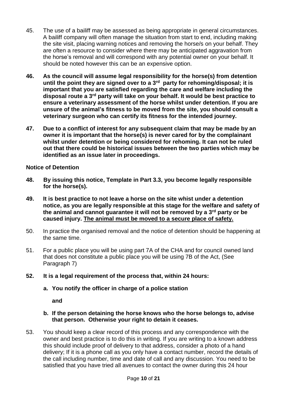- 45. The use of a bailiff may be assessed as being appropriate in general circumstances. A bailiff company will often manage the situation from start to end, including making the site visit, placing warning notices and removing the horse/s on your behalf. They are often a resource to consider where there may be anticipated aggravation from the horse's removal and will correspond with any potential owner on your behalf. It should be noted however this can be an expensive option.
- **46. As the council will assume legal responsibility for the horse(s) from detention until the point they are signed over to a 3rd party for rehoming/disposal; it is important that you are satisfied regarding the care and welfare including the disposal route a 3rd party will take on your behalf. It would be best practice to ensure a veterinary assessment of the horse whilst under detention. If you are unsure of the animal's fitness to be moved from the site, you should consult a veterinary surgeon who can certify its fitness for the intended journey.**
- **47. Due to a conflict of interest for any subsequent claim that may be made by an owner it is important that the horse(s) is never cared for by the complainant whilst under detention or being considered for rehoming. It can not be ruled out that there could be historical issues between the two parties which may be identified as an issue later in proceedings.**

#### **Notice of Detention**

- **48. By issuing this notice, Template in Part 3.3, you become legally responsible for the horse(s).**
- **49. It is best practice to not leave a horse on the site whist under a detention notice, as you are legally responsible at this stage for the welfare and safety of the animal and cannot guarantee it will not be removed by a 3rd party or be caused injury. The animal must be moved to a secure place of safety.**
- 50. In practice the organised removal and the notice of detention should be happening at the same time.
- 51. For a public place you will be using part 7A of the CHA and for council owned land that does not constitute a public place you will be using 7B of the Act, (See Paragraph 7)
- **52. It is a legal requirement of the process that, within 24 hours:**
	- **a. You notify the officer in charge of a police station**

**and**

#### **b. If the person detaining the horse knows who the horse belongs to, advise that person. Otherwise your right to detain it ceases.**

53. You should keep a clear record of this process and any correspondence with the owner and best practice is to do this in writing. If you are writing to a known address this should include proof of delivery to that address, consider a photo of a hand delivery; If it is a phone call as you only have a contact number, record the details of the call including number, time and date of call and any discussion. You need to be satisfied that you have tried all avenues to contact the owner during this 24 hour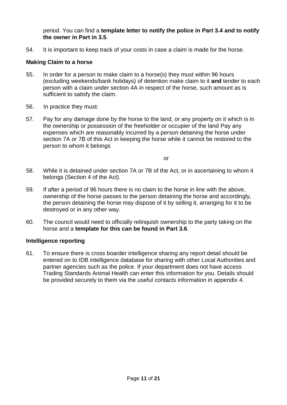period. You can find a **template letter to notify the police in Part 3.4 and to notify the owner in Part in 3.5**.

54. It is important to keep track of your costs in case a claim is made for the horse.

#### **Making Claim to a horse**

- 55. In order for a person to make claim to a horse(s) they must within 96 hours (excluding weekends/bank holidays) of detention make claim to it **and** tender to each person with a claim under section 4A in respect of the horse, such amount as is sufficient to satisfy the claim.
- 56. In practice they must:
- 57. Pay for any damage done by the horse to the land, or any property on it which is in the ownership or possession of the freeholder or occupier of the land Pay any expenses which are reasonably incurred by a person detaining the horse under section 7A or 7B of this Act in keeping the horse while it cannot be restored to the person to whom it belongs

**or** *order* 

- 58. While it is detained under section 7A or 7B of the Act, or in ascertaining to whom it belongs (Section 4 of the Act).
- 59. If after a period of 96 hours there is no claim to the horse in line with the above, ownership of the horse passes to the person detaining the horse and accordingly, the person detaining the horse may dispose of it by selling it, arranging for it to be destroyed or in any other way.
- 60. The council would need to officially relinquish ownership to the party taking on the horse and a **template for this can be found in Part 3.6**.

#### **Intelligence reporting**

61. To ensure there is cross boarder intelligence sharing any report detail should be entered on to IDB intelligence database for sharing with other Local Authorities and partner agencies such as the police. If your department does not have access Trading Standards Animal Health can enter this information for you. Details should be provided securely to them via the useful contacts information in appendix 4.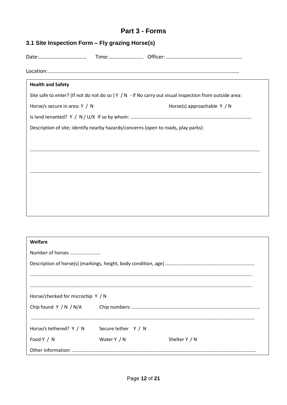## **Part 3 - Forms**

| 3.1 Site Inspection Form - Fly grazing Horse(s)                                                         |                             |  |
|---------------------------------------------------------------------------------------------------------|-----------------------------|--|
|                                                                                                         |                             |  |
|                                                                                                         |                             |  |
| <b>Health and Safety</b>                                                                                |                             |  |
| Site safe to enter? (If not do not do so ) Y / N - If No carry out visual inspection from outside area: |                             |  |
| Horse/s secure in area: Y / N                                                                           | Horse(s) approachable Y / N |  |
|                                                                                                         |                             |  |
| Description of site; identify nearby hazards/concerns (open to roads, play parks):                      |                             |  |
|                                                                                                         |                             |  |
|                                                                                                         |                             |  |
|                                                                                                         |                             |  |
|                                                                                                         |                             |  |
|                                                                                                         |                             |  |
|                                                                                                         |                             |  |
|                                                                                                         |                             |  |
|                                                                                                         |                             |  |

| Welfare                           |                     |               |
|-----------------------------------|---------------------|---------------|
| Number of horses                  |                     |               |
|                                   |                     |               |
|                                   |                     |               |
|                                   |                     |               |
| Horse/checked for microchip Y / N |                     |               |
|                                   |                     |               |
|                                   |                     |               |
| Horse/s tethered? Y / N           | Secure tether Y / N |               |
| Food Y / N                        | Water Y / N         | Shelter Y / N |
|                                   |                     |               |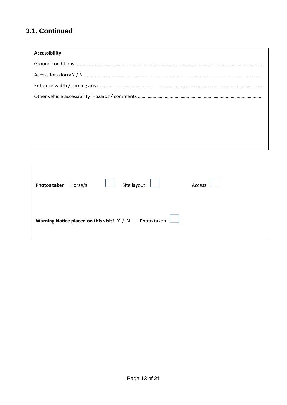## **3.1. Continued**

| <b>Accessibility</b> |
|----------------------|
|                      |
|                      |
|                      |
|                      |
|                      |
|                      |
|                      |
|                      |
|                      |

| Photos taken Horse/s                       |  | Site layout | Access |
|--------------------------------------------|--|-------------|--------|
| Warning Notice placed on this visit? Y / N |  | Photo taken |        |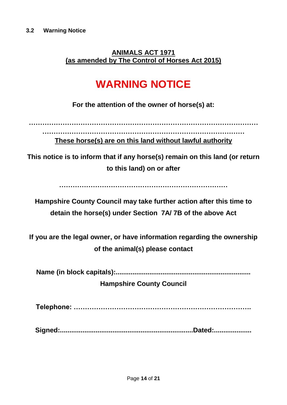**ANIMALS ACT 1971 (as amended by The Control of Horses Act 2015)**

## **WARNING NOTICE**

**For the attention of the owner of horse(s) at:**

**………………………………………………………………………………………… ……………………………………………………………………………… These horse(s) are on this land without lawful authority**

**This notice is to inform that if any horse(s) remain on this land (or return to this land) on or after** 

**…………………………………………………………………**

**Hampshire County Council may take further action after this time to detain the horse(s) under Section 7A/ 7B of the above Act**

**If you are the legal owner, or have information regarding the ownership of the animal(s) please contact**

**Name (in block capitals):........................................................................**

**Hampshire County Council**

**Telephone: …………………………………………………………………….**

**Signed:.......................................................................Dated:....................**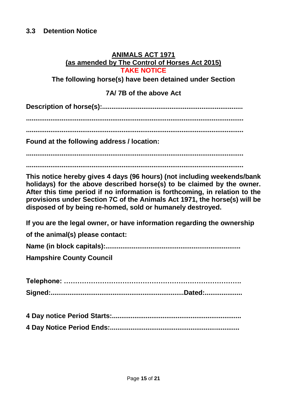## **3.3 Detention Notice**

#### **ANIMALS ACT 1971 (as amended by The Control of Horses Act 2015) TAKE NOTICE**

**The following horse(s) have been detained under Section** 

## **7A/ 7B of the above Act**

**Description of horse(s):...........................................................................**

**....................................................................................................................**

**....................................................................................................................**

**Found at the following address / location:**

**....................................................................................................................**

**....................................................................................................................**

**This notice hereby gives 4 days (96 hours) (not including weekends/bank holidays) for the above described horse(s) to be claimed by the owner. After this time period if no information is forthcoming, in relation to the provisions under Section 7C of the Animals Act 1971, the horse(s) will be disposed of by being re-homed, sold or humanely destroyed.**

**If you are the legal owner, or have information regarding the ownership** 

**of the animal(s) please contact:**

**Name (in block capitals):........................................................................**

**Hampshire County Council**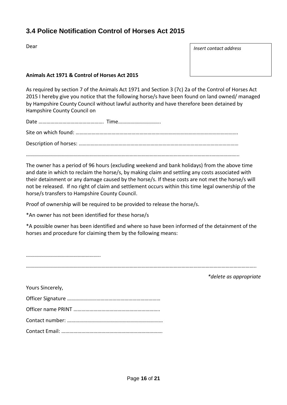## **3.4 Police Notification Control of Horses Act 2015**

Dear

*Insert contact address*

#### **Animals Act 1971 & Control of Horses Act 2015**

As required by section 7 of the Animals Act 1971 and Section 3 (7c) 2a of the Control of Horses Act 2015 I hereby give you notice that the following horse/s have been found on land owned/ managed by Hampshire County Council without lawful authority and have therefore been detained by Hampshire County Council on

Date …………………………………………. Time………………………….. Site on which found: ……………………………………………………….…………………………………………………. Description of horses: ………………………………………………………………………………………………………… ………………………………………………………………………………………………………………………….………………...

The owner has a period of 96 hours (excluding weekend and bank holidays) from the above time and date in which to reclaim the horse/s, by making claim and settling any costs associated with their detainment or any damage caused by the horse/s. If these costs are not met the horse/s will not be released. If no right of claim and settlement occurs within this time legal ownership of the horse/s transfers to Hampshire County Council.

Proof of ownership will be required to be provided to release the horse/s.

\*An owner has not been identified for these horse/s

\*A possible owner has been identified and where so have been informed of the detainment of the horses and procedure for claiming them by the following means:

*\*delete as appropriate*

Yours Sincerely,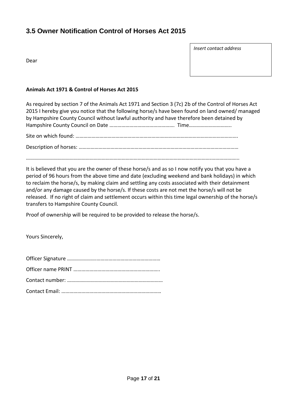## **3.5 Owner Notification Control of Horses Act 2015**

Dear

*Insert contact address*

#### **Animals Act 1971 & Control of Horses Act 2015**

As required by section 7 of the Animals Act 1971 and Section 3 (7c) 2b of the Control of Horses Act 2015 I hereby give you notice that the following horse/s have been found on land owned/ managed by Hampshire County Council without lawful authority and have therefore been detained by Hampshire County Council on Date …………………………………………. Time………………………….. Site on which found: ……………………………………………………….………………………………………………….

Description of horses: ………………………………………………………………………………………………………… ………………………………………………………………………………………………………………………….………………...

It is believed that you are the owner of these horse/s and as so I now notify you that you have a period of 96 hours from the above time and date (excluding weekend and bank holidays) in which to reclaim the horse/s, by making claim and settling any costs associated with their detainment and/or any damage caused by the horse/s. If these costs are not met the horse/s will not be released. If no right of claim and settlement occurs within this time legal ownership of the horse/s transfers to Hampshire County Council.

Proof of ownership will be required to be provided to release the horse/s.

Yours Sincerely,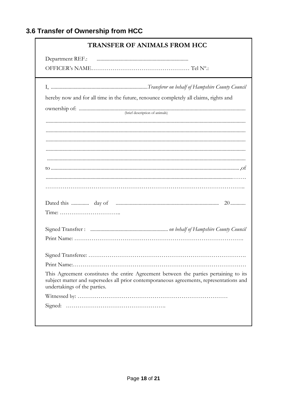## 3.6 Transfer of Ownership from HCC

| <b>TRANSFER OF ANIMALS FROM HCC</b>                                                                                                                                                                              |
|------------------------------------------------------------------------------------------------------------------------------------------------------------------------------------------------------------------|
|                                                                                                                                                                                                                  |
|                                                                                                                                                                                                                  |
|                                                                                                                                                                                                                  |
| hereby now and for all time in the future, renounce completely all claims, rights and                                                                                                                            |
|                                                                                                                                                                                                                  |
|                                                                                                                                                                                                                  |
|                                                                                                                                                                                                                  |
|                                                                                                                                                                                                                  |
|                                                                                                                                                                                                                  |
|                                                                                                                                                                                                                  |
|                                                                                                                                                                                                                  |
|                                                                                                                                                                                                                  |
|                                                                                                                                                                                                                  |
|                                                                                                                                                                                                                  |
|                                                                                                                                                                                                                  |
|                                                                                                                                                                                                                  |
|                                                                                                                                                                                                                  |
| This Agreement constitutes the entire Agreement between the parties pertaining to its<br>subject matter and supersedes all prior contemporaneous agreements, representations and<br>undertakings of the parties. |
|                                                                                                                                                                                                                  |
|                                                                                                                                                                                                                  |
|                                                                                                                                                                                                                  |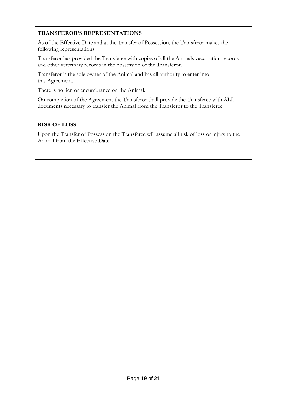#### **TRANSFEROR'S REPRESENTATIONS**

As of the Effective Date and at the Transfer of Possession, the Transferor makes the following representations:

Transferor has provided the Transferee with copies of all the Animals vaccination records and other veterinary records in the possession of the Transferor.

Transferor is the sole owner of the Animal and has all authority to enter into this Agreement.

There is no lien or encumbrance on the Animal.

On completion of the Agreement the Transferor shall provide the Transferee with ALL documents necessary to transfer the Animal from the Transferor to the Transferee.

#### **RISK OF LOSS**

Upon the Transfer of Possession the Transferee will assume all risk of loss or injury to the Animal from the Effective Date